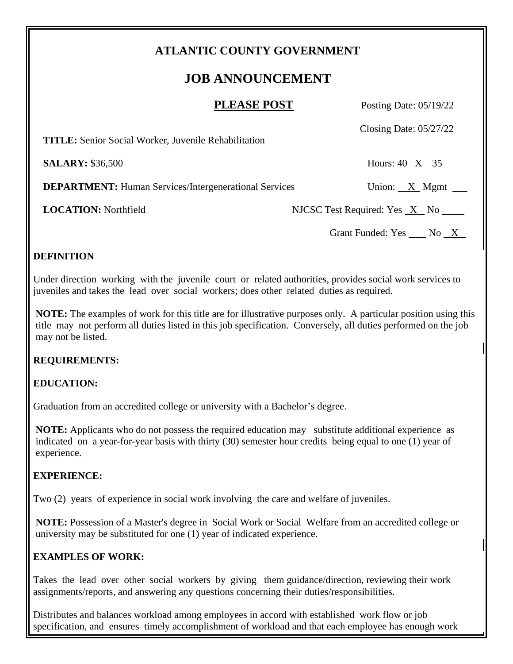## **ATLANTIC COUNTY GOVERNMENT**

# **JOB ANNOUNCEMENT**

| <b>PLEASE POST</b> |  |
|--------------------|--|
|--------------------|--|

Posting Date: 05/19/22

Closing Date: 05/27/22

 **TITLE:** Senior Social Worker, Juvenile Rehabilitation

**SALARY:** \$36,500 Hours: 40 X 35

**DEPARTMENT:** Human Services/Intergenerational Services Union: X Mgmt

**LOCATION:** Northfield NJCSC Test Required: Yes X No

Grant Funded: Yes \_\_\_\_ No \_X\_

### **DEFINITION**

Under direction working with the juvenile court or related authorities, provides social work services to juveniles and takes the lead over social workers; does other related duties as required.

**NOTE:** The examples of work for this title are for illustrative purposes only. A particular position using this title may not perform all duties listed in this job specification. Conversely, all duties performed on the job may not be listed.

#### **REQUIREMENTS:**

#### **EDUCATION:**

Graduation from an accredited college or university with a Bachelor's degree.

**NOTE:** Applicants who do not possess the required education may substitute additional experience as indicated on a year-for-year basis with thirty (30) semester hour credits being equal to one (1) year of experience.

#### **EXPERIENCE:**

Two (2) years of experience in social work involving the care and welfare of juveniles.

**NOTE:** Possession of a Master's degree in Social Work or Social Welfare from an accredited college or university may be substituted for one (1) year of indicated experience.

## **EXAMPLES OF WORK:**

Takes the lead over other social workers by giving them guidance/direction, reviewing their work assignments/reports, and answering any questions concerning their duties/responsibilities.

Distributes and balances workload among employees in accord with established work flow or job specification, and ensures timely accomplishment of workload and that each employee has enough work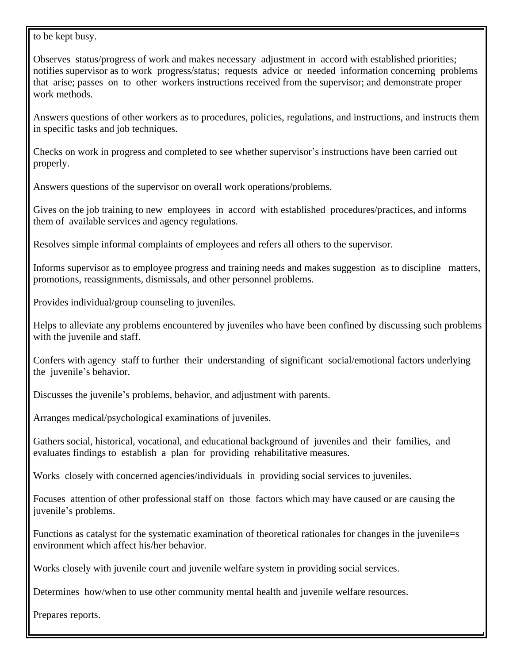to be kept busy.

Observes status/progress of work and makes necessary adjustment in accord with established priorities; notifies supervisor as to work progress/status; requests advice or needed information concerning problems that arise; passes on to other workers instructions received from the supervisor; and demonstrate proper work methods.

Answers questions of other workers as to procedures, policies, regulations, and instructions, and instructs them in specific tasks and job techniques.

Checks on work in progress and completed to see whether supervisor's instructions have been carried out properly.

Answers questions of the supervisor on overall work operations/problems.

Gives on the job training to new employees in accord with established procedures/practices, and informs them of available services and agency regulations.

Resolves simple informal complaints of employees and refers all others to the supervisor.

Informs supervisor as to employee progress and training needs and makes suggestion as to discipline matters, promotions, reassignments, dismissals, and other personnel problems.

Provides individual/group counseling to juveniles.

Helps to alleviate any problems encountered by juveniles who have been confined by discussing such problems with the juvenile and staff.

Confers with agency staff to further their understanding of significant social/emotional factors underlying the juvenile's behavior.

Discusses the juvenile's problems, behavior, and adjustment with parents.

Arranges medical/psychological examinations of juveniles.

Gathers social, historical, vocational, and educational background of juveniles and their families, and evaluates findings to establish a plan for providing rehabilitative measures.

Works closely with concerned agencies/individuals in providing social services to juveniles.

Focuses attention of other professional staff on those factors which may have caused or are causing the juvenile's problems.

Functions as catalyst for the systematic examination of theoretical rationales for changes in the juvenile=s environment which affect his/her behavior.

Works closely with juvenile court and juvenile welfare system in providing social services.

Determines how/when to use other community mental health and juvenile welfare resources.

Prepares reports.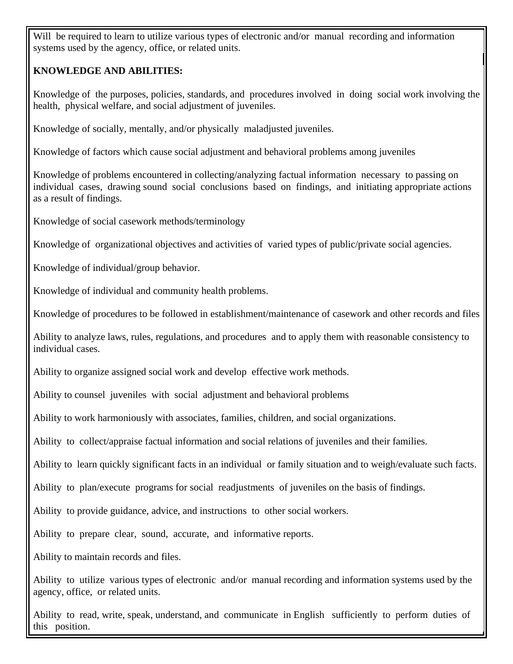Will be required to learn to utilize various types of electronic and/or manual recording and information systems used by the agency, office, or related units.

#### **KNOWLEDGE AND ABILITIES:**

Knowledge of the purposes, policies, standards, and procedures involved in doing social work involving the health, physical welfare, and social adjustment of juveniles.

Knowledge of socially, mentally, and/or physically maladjusted juveniles.

Knowledge of factors which cause social adjustment and behavioral problems among juveniles

Knowledge of problems encountered in collecting/analyzing factual information necessary to passing on individual cases, drawing sound social conclusions based on findings, and initiating appropriate actions as a result of findings.

Knowledge of social casework methods/terminology

Knowledge of organizational objectives and activities of varied types of public/private social agencies.

Knowledge of individual/group behavior.

Knowledge of individual and community health problems.

Knowledge of procedures to be followed in establishment/maintenance of casework and other records and files

Ability to analyze laws, rules, regulations, and procedures and to apply them with reasonable consistency to individual cases.

Ability to organize assigned social work and develop effective work methods.

Ability to counsel juveniles with social adjustment and behavioral problems

Ability to work harmoniously with associates, families, children, and social organizations.

Ability to collect/appraise factual information and social relations of juveniles and their families.

Ability to learn quickly significant facts in an individual or family situation and to weigh/evaluate such facts.

Ability to plan/execute programs for social readjustments of juveniles on the basis of findings.

Ability to provide guidance, advice, and instructions to other social workers.

Ability to prepare clear, sound, accurate, and informative reports.

Ability to maintain records and files.

Ability to utilize various types of electronic and/or manual recording and information systems used by the agency, office, or related units.

Ability to read, write, speak, understand, and communicate in English sufficiently to perform duties of this position.